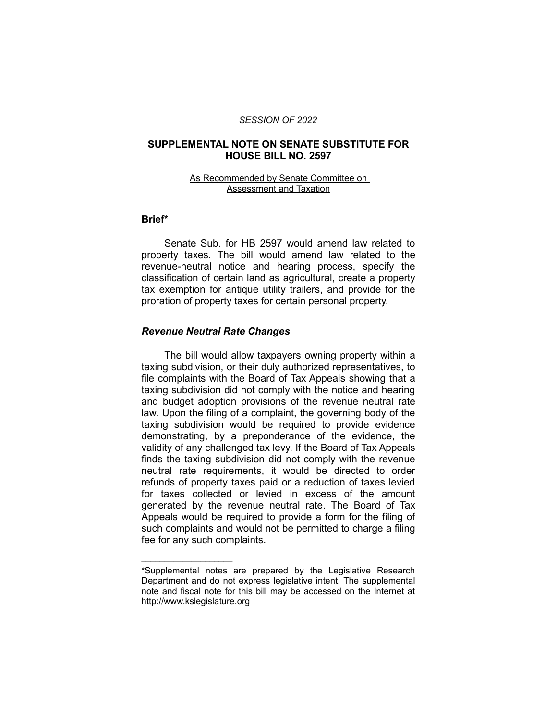#### *SESSION OF 2022*

### **SUPPLEMENTAL NOTE ON SENATE SUBSTITUTE FOR HOUSE BILL NO. 2597**

#### As Recommended by Senate Committee on Assessment and Taxation

#### **Brief\***

Senate Sub. for HB 2597 would amend law related to property taxes. The bill would amend law related to the revenue-neutral notice and hearing process, specify the classification of certain land as agricultural, create a property tax exemption for antique utility trailers, and provide for the proration of property taxes for certain personal property.

### *Revenue Neutral Rate Changes*

 $\overline{\phantom{a}}$  , where  $\overline{\phantom{a}}$  , where  $\overline{\phantom{a}}$ 

The bill would allow taxpayers owning property within a taxing subdivision, or their duly authorized representatives, to file complaints with the Board of Tax Appeals showing that a taxing subdivision did not comply with the notice and hearing and budget adoption provisions of the revenue neutral rate law. Upon the filing of a complaint, the governing body of the taxing subdivision would be required to provide evidence demonstrating, by a preponderance of the evidence, the validity of any challenged tax levy. If the Board of Tax Appeals finds the taxing subdivision did not comply with the revenue neutral rate requirements, it would be directed to order refunds of property taxes paid or a reduction of taxes levied for taxes collected or levied in excess of the amount generated by the revenue neutral rate. The Board of Tax Appeals would be required to provide a form for the filing of such complaints and would not be permitted to charge a filing fee for any such complaints.

<sup>\*</sup>Supplemental notes are prepared by the Legislative Research Department and do not express legislative intent. The supplemental note and fiscal note for this bill may be accessed on the Internet at http://www.kslegislature.org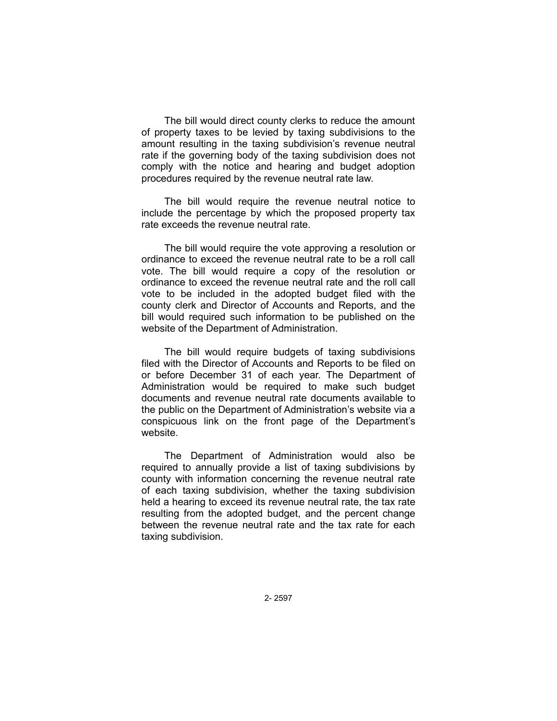The bill would direct county clerks to reduce the amount of property taxes to be levied by taxing subdivisions to the amount resulting in the taxing subdivision's revenue neutral rate if the governing body of the taxing subdivision does not comply with the notice and hearing and budget adoption procedures required by the revenue neutral rate law.

The bill would require the revenue neutral notice to include the percentage by which the proposed property tax rate exceeds the revenue neutral rate.

The bill would require the vote approving a resolution or ordinance to exceed the revenue neutral rate to be a roll call vote. The bill would require a copy of the resolution or ordinance to exceed the revenue neutral rate and the roll call vote to be included in the adopted budget filed with the county clerk and Director of Accounts and Reports, and the bill would required such information to be published on the website of the Department of Administration.

The bill would require budgets of taxing subdivisions filed with the Director of Accounts and Reports to be filed on or before December 31 of each year. The Department of Administration would be required to make such budget documents and revenue neutral rate documents available to the public on the Department of Administration's website via a conspicuous link on the front page of the Department's website.

The Department of Administration would also be required to annually provide a list of taxing subdivisions by county with information concerning the revenue neutral rate of each taxing subdivision, whether the taxing subdivision held a hearing to exceed its revenue neutral rate, the tax rate resulting from the adopted budget, and the percent change between the revenue neutral rate and the tax rate for each taxing subdivision.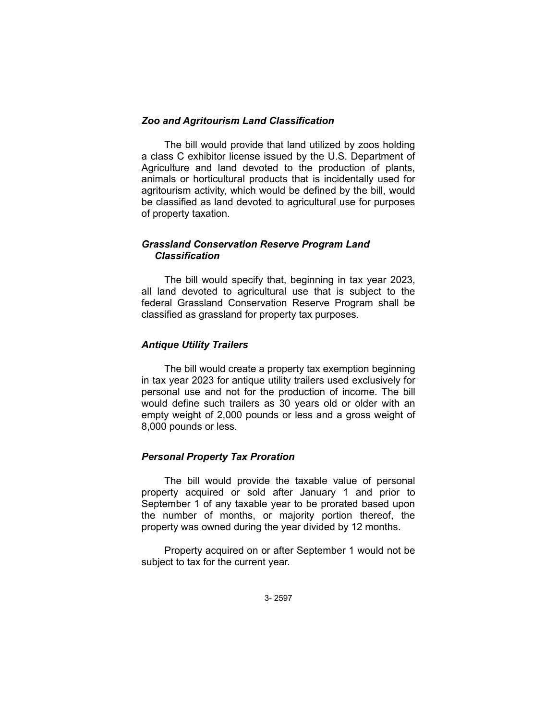## *Zoo and Agritourism Land Classification*

The bill would provide that land utilized by zoos holding a class C exhibitor license issued by the U.S. Department of Agriculture and land devoted to the production of plants, animals or horticultural products that is incidentally used for agritourism activity, which would be defined by the bill, would be classified as land devoted to agricultural use for purposes of property taxation.

## *Grassland Conservation Reserve Program Land Classification*

The bill would specify that, beginning in tax year 2023, all land devoted to agricultural use that is subject to the federal Grassland Conservation Reserve Program shall be classified as grassland for property tax purposes.

# *Antique Utility Trailers*

The bill would create a property tax exemption beginning in tax year 2023 for antique utility trailers used exclusively for personal use and not for the production of income. The bill would define such trailers as 30 years old or older with an empty weight of 2,000 pounds or less and a gross weight of 8,000 pounds or less.

#### *Personal Property Tax Proration*

The bill would provide the taxable value of personal property acquired or sold after January 1 and prior to September 1 of any taxable year to be prorated based upon the number of months, or majority portion thereof, the property was owned during the year divided by 12 months.

Property acquired on or after September 1 would not be subject to tax for the current year.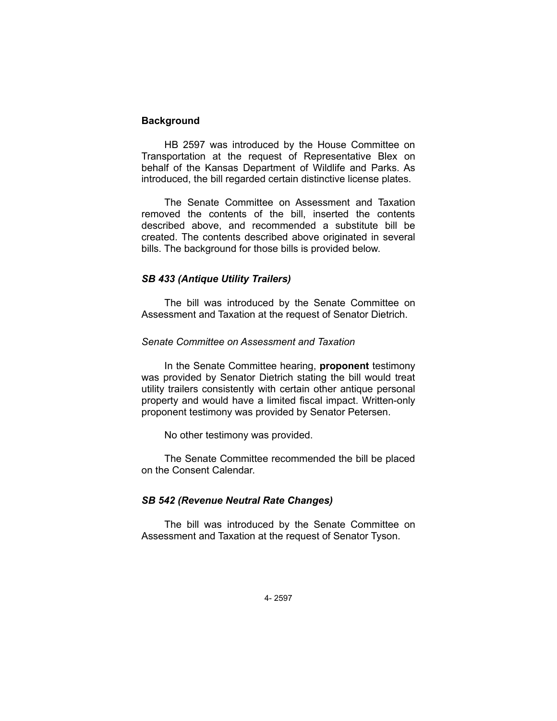# **Background**

HB 2597 was introduced by the House Committee on Transportation at the request of Representative Blex on behalf of the Kansas Department of Wildlife and Parks. As introduced, the bill regarded certain distinctive license plates.

The Senate Committee on Assessment and Taxation removed the contents of the bill, inserted the contents described above, and recommended a substitute bill be created. The contents described above originated in several bills. The background for those bills is provided below.

#### *SB 433 (Antique Utility Trailers)*

The bill was introduced by the Senate Committee on Assessment and Taxation at the request of Senator Dietrich.

### *Senate Committee on Assessment and Taxation*

In the Senate Committee hearing, **proponent** testimony was provided by Senator Dietrich stating the bill would treat utility trailers consistently with certain other antique personal property and would have a limited fiscal impact. Written-only proponent testimony was provided by Senator Petersen.

No other testimony was provided.

The Senate Committee recommended the bill be placed on the Consent Calendar.

# *SB 542 (Revenue Neutral Rate Changes)*

The bill was introduced by the Senate Committee on Assessment and Taxation at the request of Senator Tyson.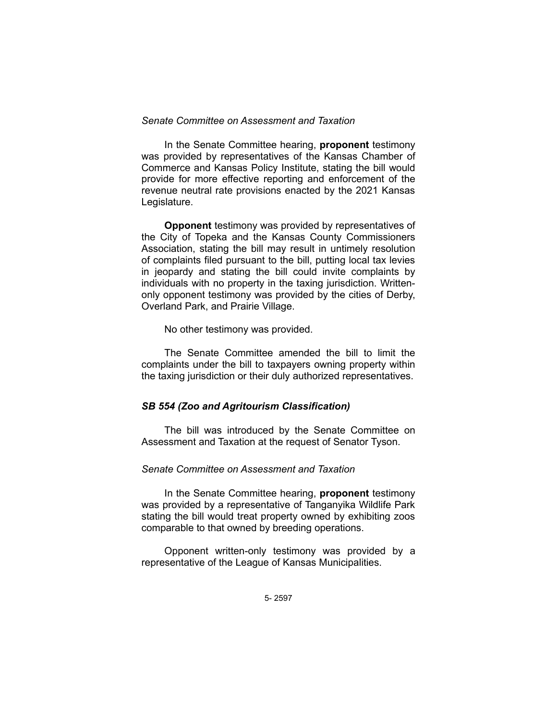### *Senate Committee on Assessment and Taxation*

In the Senate Committee hearing, **proponent** testimony was provided by representatives of the Kansas Chamber of Commerce and Kansas Policy Institute, stating the bill would provide for more effective reporting and enforcement of the revenue neutral rate provisions enacted by the 2021 Kansas Legislature.

**Opponent** testimony was provided by representatives of the City of Topeka and the Kansas County Commissioners Association, stating the bill may result in untimely resolution of complaints filed pursuant to the bill, putting local tax levies in jeopardy and stating the bill could invite complaints by individuals with no property in the taxing jurisdiction. Writtenonly opponent testimony was provided by the cities of Derby, Overland Park, and Prairie Village.

No other testimony was provided.

The Senate Committee amended the bill to limit the complaints under the bill to taxpayers owning property within the taxing jurisdiction or their duly authorized representatives.

## *SB 554 (Zoo and Agritourism Classification)*

The bill was introduced by the Senate Committee on Assessment and Taxation at the request of Senator Tyson.

#### *Senate Committee on Assessment and Taxation*

In the Senate Committee hearing, **proponent** testimony was provided by a representative of Tanganyika Wildlife Park stating the bill would treat property owned by exhibiting zoos comparable to that owned by breeding operations.

Opponent written-only testimony was provided by a representative of the League of Kansas Municipalities.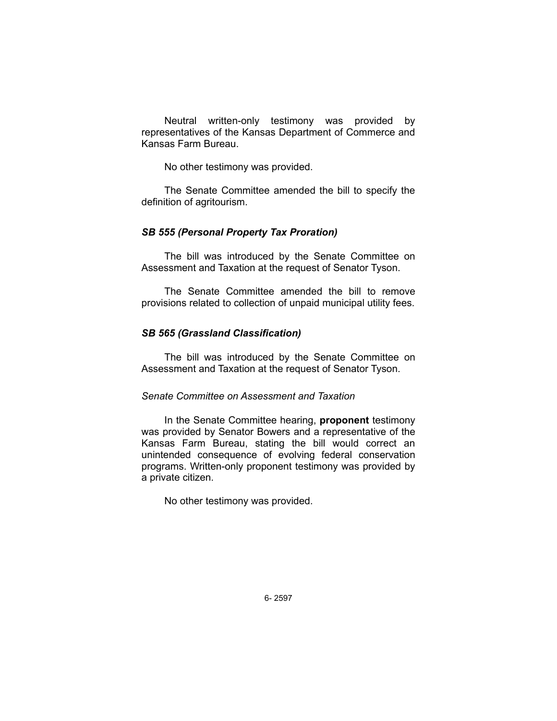Neutral written-only testimony was provided by representatives of the Kansas Department of Commerce and Kansas Farm Bureau.

No other testimony was provided.

The Senate Committee amended the bill to specify the definition of agritourism.

### *SB 555 (Personal Property Tax Proration)*

The bill was introduced by the Senate Committee on Assessment and Taxation at the request of Senator Tyson.

The Senate Committee amended the bill to remove provisions related to collection of unpaid municipal utility fees.

### *SB 565 (Grassland Classification)*

The bill was introduced by the Senate Committee on Assessment and Taxation at the request of Senator Tyson.

# *Senate Committee on Assessment and Taxation*

In the Senate Committee hearing, **proponent** testimony was provided by Senator Bowers and a representative of the Kansas Farm Bureau, stating the bill would correct an unintended consequence of evolving federal conservation programs. Written-only proponent testimony was provided by a private citizen.

No other testimony was provided.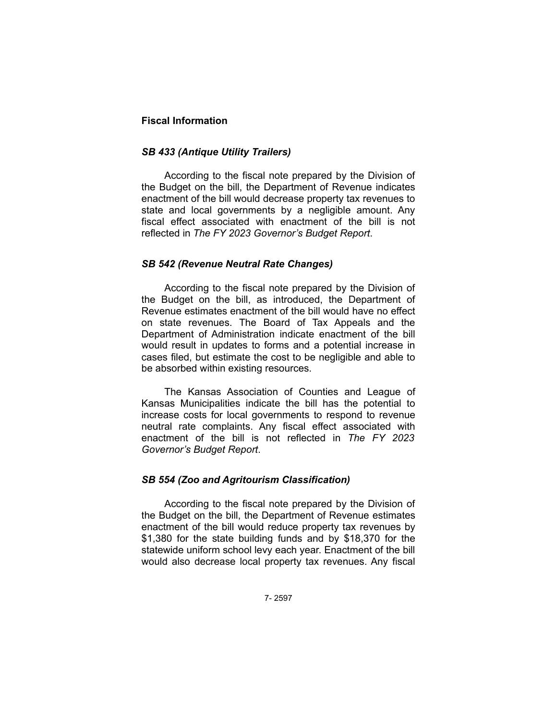# **Fiscal Information**

### *SB 433 (Antique Utility Trailers)*

According to the fiscal note prepared by the Division of the Budget on the bill, the Department of Revenue indicates enactment of the bill would decrease property tax revenues to state and local governments by a negligible amount. Any fiscal effect associated with enactment of the bill is not reflected in *The FY 2023 Governor's Budget Report*.

### *SB 542 (Revenue Neutral Rate Changes)*

According to the fiscal note prepared by the Division of the Budget on the bill, as introduced, the Department of Revenue estimates enactment of the bill would have no effect on state revenues. The Board of Tax Appeals and the Department of Administration indicate enactment of the bill would result in updates to forms and a potential increase in cases filed, but estimate the cost to be negligible and able to be absorbed within existing resources.

The Kansas Association of Counties and League of Kansas Municipalities indicate the bill has the potential to increase costs for local governments to respond to revenue neutral rate complaints. Any fiscal effect associated with enactment of the bill is not reflected in *The FY 2023 Governor's Budget Report*.

# *SB 554 (Zoo and Agritourism Classification)*

According to the fiscal note prepared by the Division of the Budget on the bill, the Department of Revenue estimates enactment of the bill would reduce property tax revenues by \$1,380 for the state building funds and by \$18,370 for the statewide uniform school levy each year. Enactment of the bill would also decrease local property tax revenues. Any fiscal